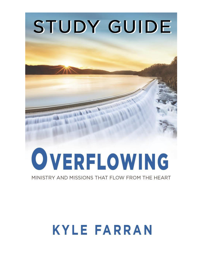# STUDY GUIDE OVERFLOWING

MINISTRY AND MISSIONS THAT FLOW FROM THE HEART

# **KYLE FARRAN**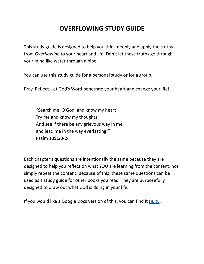This study guide is designed to help you think deeply and apply the truths from *Overflowing* to your heart and life. Don't let these truths go through your mind like water through a pipe.

You can use this study guide for a personal study or for a group.

Pray. Reflect. Let God's Word penetrate your heart and change your life!

"Search me, O God, and know my heart! Try me and know my thoughts! And see if there be any grievous way in me, and lead me in the way everlasting!" Psalm 139:23-24

Each chapter's questions are intentionally the same because they are designed to help you reflect on what YOU are learning from the content, not simply repeat the content. Because of this, these same questions can be used as a study guide for other books you read. They are purposefully designed to draw out what God is doing in your life.

If you would like a Google Docs version of this, you can find it **[HERE](https://docs.google.com/document/d/1NwvcxnLnsAbLKhfq9e96V6J_1Q9BwveMY2r76l5t8Uo/edit?usp=sharing)**.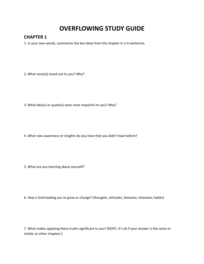#### **CHAPTER 1**

1. In your own words, summarize the key ideas from the chapter in 1-4 sentences.

2. What verse(s) stood out to you? Why?

3. What idea(s) or quote(s) were most impactful to you? Why?

4. What new awareness or insights do you have that you didn't have before?

5. What are you learning about yourself?

6. How is God leading you to grow or change? (thoughts, attitudes, behavior, character, habits)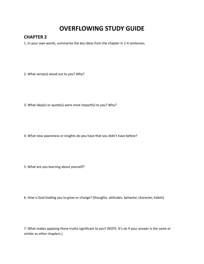#### **CHAPTER 2**

1. In your own words, summarize the key ideas from the chapter in 1-4 sentences.

2. What verse(s) stood out to you? Why?

3. What idea(s) or quote(s) were most impactful to you? Why?

4. What new awareness or insights do you have that you didn't have before?

5. What are you learning about yourself?

6. How is God leading you to grow or change? (thoughts, attitudes, behavior, character, habits)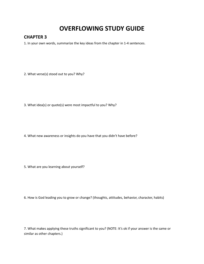#### **CHAPTER 3**

1. In your own words, summarize the key ideas from the chapter in 1-4 sentences.

2. What verse(s) stood out to you? Why?

3. What idea(s) or quote(s) were most impactful to you? Why?

4. What new awareness or insights do you have that you didn't have before?

5. What are you learning about yourself?

6. How is God leading you to grow or change? (thoughts, attitudes, behavior, character, habits)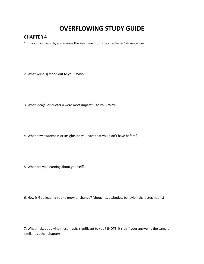#### **CHAPTER 4**

1. In your own words, summarize the key ideas from the chapter in 1-4 sentences.

2. What verse(s) stood out to you? Why?

3. What idea(s) or quote(s) were most impactful to you? Why?

4. What new awareness or insights do you have that you didn't have before?

5. What are you learning about yourself?

6. How is God leading you to grow or change? (thoughts, attitudes, behavior, character, habits)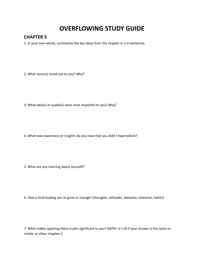#### **CHAPTER 5**

1. In your own words, summarize the key ideas from the chapter in 1-4 sentences.

2. What verse(s) stood out to you? Why?

3. What idea(s) or quote(s) were most impactful to you? Why?

4. What new awareness or insights do you have that you didn't have before?

5. What are you learning about yourself?

6. How is God leading you to grow or change? (thoughts, attitudes, behavior, character, habits)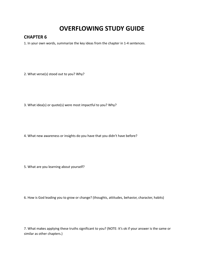#### **CHAPTER 6**

1. In your own words, summarize the key ideas from the chapter in 1-4 sentences.

2. What verse(s) stood out to you? Why?

3. What idea(s) or quote(s) were most impactful to you? Why?

4. What new awareness or insights do you have that you didn't have before?

5. What are you learning about yourself?

6. How is God leading you to grow or change? (thoughts, attitudes, behavior, character, habits)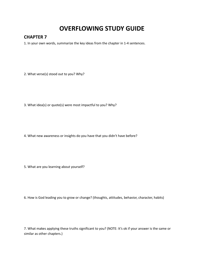#### **CHAPTER 7**

1. In your own words, summarize the key ideas from the chapter in 1-4 sentences.

2. What verse(s) stood out to you? Why?

3. What idea(s) or quote(s) were most impactful to you? Why?

4. What new awareness or insights do you have that you didn't have before?

5. What are you learning about yourself?

6. How is God leading you to grow or change? (thoughts, attitudes, behavior, character, habits)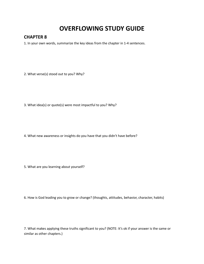#### **CHAPTER 8**

1. In your own words, summarize the key ideas from the chapter in 1-4 sentences.

2. What verse(s) stood out to you? Why?

3. What idea(s) or quote(s) were most impactful to you? Why?

4. What new awareness or insights do you have that you didn't have before?

5. What are you learning about yourself?

6. How is God leading you to grow or change? (thoughts, attitudes, behavior, character, habits)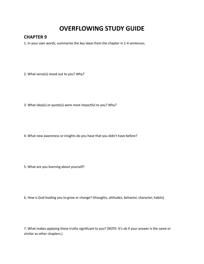#### **CHAPTER 9**

1. In your own words, summarize the key ideas from the chapter in 1-4 sentences.

2. What verse(s) stood out to you? Why?

3. What idea(s) or quote(s) were most impactful to you? Why?

4. What new awareness or insights do you have that you didn't have before?

5. What are you learning about yourself?

6. How is God leading you to grow or change? (thoughts, attitudes, behavior, character, habits)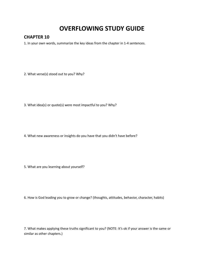#### **CHAPTER 10**

1. In your own words, summarize the key ideas from the chapter in 1-4 sentences.

2. What verse(s) stood out to you? Why?

3. What idea(s) or quote(s) were most impactful to you? Why?

4. What new awareness or insights do you have that you didn't have before?

5. What are you learning about yourself?

6. How is God leading you to grow or change? (thoughts, attitudes, behavior, character, habits)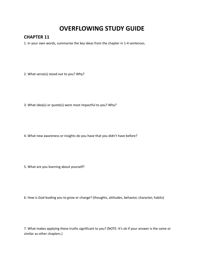#### **CHAPTER 11**

1. In your own words, summarize the key ideas from the chapter in 1-4 sentences.

2. What verse(s) stood out to you? Why?

3. What idea(s) or quote(s) were most impactful to you? Why?

4. What new awareness or insights do you have that you didn't have before?

5. What are you learning about yourself?

6. How is God leading you to grow or change? (thoughts, attitudes, behavior, character, habits)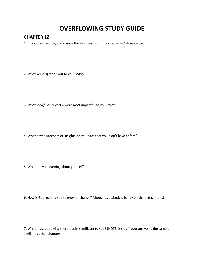#### **CHAPTER 12**

1. In your own words, summarize the key ideas from the chapter in 1-4 sentences.

2. What verse(s) stood out to you? Why?

3. What idea(s) or quote(s) were most impactful to you? Why?

4. What new awareness or insights do you have that you didn't have before?

5. What are you learning about yourself?

6. How is God leading you to grow or change? (thoughts, attitudes, behavior, character, habits)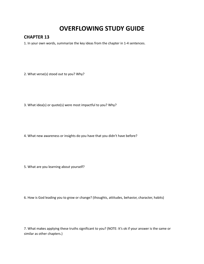#### **CHAPTER 13**

1. In your own words, summarize the key ideas from the chapter in 1-4 sentences.

2. What verse(s) stood out to you? Why?

3. What idea(s) or quote(s) were most impactful to you? Why?

4. What new awareness or insights do you have that you didn't have before?

5. What are you learning about yourself?

6. How is God leading you to grow or change? (thoughts, attitudes, behavior, character, habits)